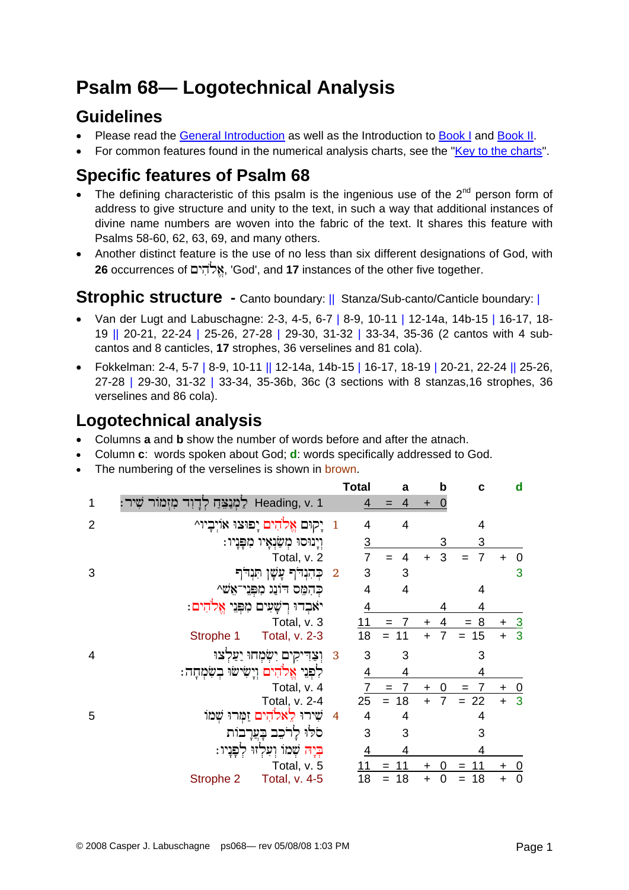# **Psalm 68— Logotechnical Analysis**

## **Guidelines**

- Please read the [General Introduction](http://www.labuschagne.nl/aspects.pdf) as well as the Introduction to [Book I](http://www.labuschagne.nl/intro1.pdf) and [Book II](http://www.labuschagne.nl/intro2.pdf).
- For common features found in the numerical analysis charts, see the "[Key to the charts](http://www.labuschagne.nl/keytocharts.pdf)".

## **Specific features of Psalm 68**

- The defining characteristic of this psalm is the ingenious use of the  $2^{nd}$  person form of address to give structure and unity to the text, in such a way that additional instances of divine name numbers are woven into the fabric of the text. It shares this feature with Psalms 58-60, 62, 63, 69, and many others.
- Another distinct feature is the use of no less than six different designations of God, with **26** occurrences of £yih»lÈ', 'God', and **17** instances of the other five together.

## **Strophic structure** - Canto boundary: || Stanza/Sub-canto/Canticle boundary: |

- Van der Lugt and Labuschagne: 2-3, 4-5, 6-7 | 8-9, 10-11 | 12-14a, 14b-15 | 16-17, 18- 19 || 20-21, 22-24 | 25-26, 27-28 | 29-30, 31-32 | 33-34, 35-36 (2 cantos with 4 subcantos and 8 canticles, **17** strophes, 36 verselines and 81 cola).
- Fokkelman: 2-4, 5-7 | 8-9, 10-11 || 12-14a, 14b-15 | 16-17, 18-19 | 20-21, 22-24 || 25-26, 27-28 | 29-30, 31-32 | 33-34, 35-36b, 36c (3 sections with 8 stanzas,16 strophes, 36 verselines and 86 cola).

## **Logotechnical analysis**

- Columns **a** and **b** show the number of words before and after the atnach.
- Column **c**: words spoken about God; **d**: words specifically addressed to God.
- The numbering of the verselines is shown in brown.

|                |                                                 |                            | <b>Total</b>   | a         | b                     | С              | d                        |
|----------------|-------------------------------------------------|----------------------------|----------------|-----------|-----------------------|----------------|--------------------------|
| 1              | Heading, v. 1<br>לַמְנַצֵּחַ לְדָוִד<br>מִזְמור |                            | 4              | 4         |                       |                |                          |
| $\overline{2}$ | 1 יָקוּם אֱלֹהִים יָפוּצוּ אוֹיְבָיוֹ^          |                            | 4              | 4         |                       | 4              |                          |
|                | וְיָנוּסוּ מְשַׂנְאָיו מִפְּנְיוּ:              |                            | $\overline{3}$ |           | 3                     | 3              |                          |
|                | Total, v. 2                                     |                            | 7              |           | 3<br>$\ddag$          | 7              | 0                        |
| 3              | כֹּהִנְהֹן עֲשֶׁן תִּנְהֹן                      | $\overline{\phantom{a}}^2$ | 3              | 3         |                       |                | 3                        |
|                | כהמס דונג מפני־אַש^                             |                            | $\overline{4}$ | 4         |                       | 4              |                          |
|                | יאבדו רשעים מפני אלהים:                         |                            | 4              |           |                       | 4              |                          |
|                | Total, v. 3                                     |                            | 11             | $= 7$     | 4<br>$\pm$            | 8<br>$=$       | <u>_3</u>                |
|                | Strophe 1<br>Total, v. 2-3                      |                            | 18             | 11<br>$=$ | $\overline{7}$<br>$+$ | $= 15$         | $\overline{3}$<br>$+$    |
| $\overline{4}$ | וְצַדִּיקִים יִשְׂמָחוּ יַעַלְצוּ               | $\overline{\mathbf{3}}$    | 3              | 3         |                       | 3              |                          |
|                | לִפְנִי אֱלֹהִים וְיָשִׂישׂוּ בְשִׂמְחָה:       |                            | 4              | 4         |                       | 4              |                          |
|                | Total, v. 4                                     |                            | 7              | 7<br>$=$  | 0<br>$\ddot{}$        | $=$            | <u>0</u><br>$\ddot{}$    |
|                | Total, v. 2-4                                   |                            | 25             | 18<br>$=$ | 7<br>$+$              | $= 22$         | $\overline{3}$<br>$+$    |
| 5              | שירו לאלהים זַמְרוּ שָׁמוֹ                      | $\overline{4}$             | 4              | 4         |                       | 4              |                          |
|                | סלוּ לַרֹכֵב בַעֲרַבוֹת                         |                            | 3              | 3         |                       | 3              |                          |
|                | ּ <mark>בְיַה</mark> שָׁמוֹ וְעִלְזוּ לִפְנָיו: |                            | $\overline{4}$ | 4         |                       | $\overline{4}$ |                          |
|                | Total, v. 5                                     |                            | 11             | 11<br>$=$ | O<br>$\ddot{}$        |                | 0                        |
|                | Total, v. 4-5<br>Strophe 2                      |                            | 18             | 18        | $\ddot{}$<br>0        | 18             | $\mathbf 0$<br>$\ddot{}$ |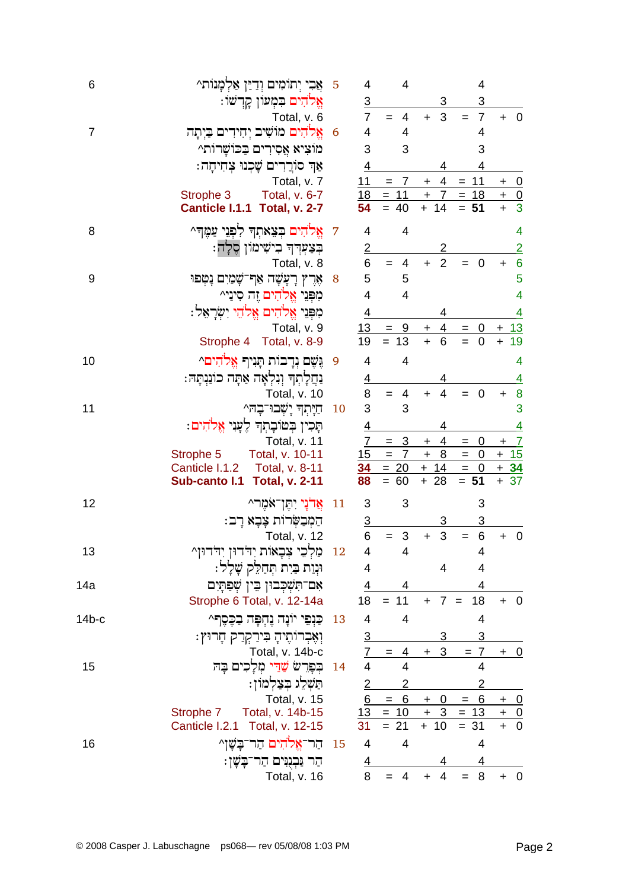| 6              | אֲבִי יְתוֹמִים וְדַיַּן אַלְמָנוֹת^                                    | 5              | 4                    | 4                                                                                      |                                   | 4                                                            |                                               |
|----------------|-------------------------------------------------------------------------|----------------|----------------------|----------------------------------------------------------------------------------------|-----------------------------------|--------------------------------------------------------------|-----------------------------------------------|
|                | אֱלֹהִים בִּמְעוֹן קָרְשׁוֹ:                                            |                | <u>3</u>             |                                                                                        | 3                                 | $\overline{3}$                                               |                                               |
|                | Total, v. 6                                                             |                | $\overline{7}$       | 4<br>$=$                                                                               | 3<br>$\ddot{}$                    | $\overline{7}$<br>$=$                                        | $\mathbf 0$<br>$\pm$                          |
| $\overline{7}$ | אֱלֹהִים מוֹשִׁיב יִחִידִים בַּיְתָה                                    | 6              | 4                    | 4                                                                                      |                                   | 4                                                            |                                               |
|                | מוציא אַסִירִים בַּכוֹשֵׁרוֹתֵ^                                         |                | 3                    | 3                                                                                      |                                   | 3                                                            |                                               |
|                | אַך סוֹרֵרִים שָׁכְנוּ צְחִיחָה:                                        |                | <u>4</u>             |                                                                                        | 4                                 | 4                                                            |                                               |
|                | Total, v. 7                                                             |                | 11                   | $\overline{7}$<br>$=$                                                                  | $+4$                              | $= 11$                                                       | $\overline{\phantom{0}}$<br>$\pm$             |
|                | Total, v. 6-7<br>Strophe 3<br>Canticle I.1.1 Total, v. 2-7              |                | 18<br>54             | $= 11$<br>$= 40$                                                                       | $\pm$<br>$\overline{7}$<br>$+ 14$ | $= 18$<br>$= 51$                                             | $\frac{+}{+}$                                 |
| 8              | אֱלֹהִים בְּצֵאתְךָ לִפְנֵי עַמֵּךְ^                                    | $\overline{7}$ | 4                    | 4                                                                                      |                                   |                                                              | 4                                             |
|                | בִּצַעְרִךְ בִישִׁימוֹן סֵלָה:                                          |                | $\overline{2}$       |                                                                                        | 2                                 |                                                              | $\overline{2}$                                |
|                | Total, v. 8                                                             |                | 6                    | 4<br>$=$                                                                               | $\overline{2}$<br>$+$             | $=$<br>$\overline{\mathbf{0}}$                               | 6<br>$+$                                      |
| 9              | אֶרֶץ רָעָשָׁה אַף־שָׁמַיִם נַטִפּוּ                                    | 8              | 5                    | 5                                                                                      |                                   |                                                              | 5                                             |
|                | מִפְּנֵי אֱלֹהִים זֶה סִינַי^                                           |                | $\overline{4}$       | $\overline{4}$                                                                         |                                   |                                                              | 4                                             |
|                | מִפְּנֵי אֱלֹהִים אֱלֹהֵי יִשְׂרָאָל:                                   |                | $\overline{4}$       |                                                                                        | 4                                 |                                                              | <u>4</u>                                      |
|                | Total, v. 9                                                             |                | 13                   | $= 9$                                                                                  | $\overline{4}$<br>$\ddot{}$       | $= 0$                                                        | $+13$                                         |
|                | Strophe 4 Total, v. 8-9                                                 |                | 19                   | $= 13$                                                                                 | $\ddot{}$<br>$6\phantom{1}6$      | $=$<br>$\overline{\mathbf{0}}$                               | 19<br>$\ddot{}$                               |
| 10             | גֲשֶׁם נְדָבוֹת תָּנִיךְ אֱלֹהִים^                                      | 9              | 4                    | 4                                                                                      |                                   |                                                              | 4                                             |
|                | נִחֲלְתְךָ וְנִלְאָה אַתָּה כוֹנַנְתָּהּ:                               |                | <u>4</u>             |                                                                                        | 4                                 |                                                              | $\overline{4}$                                |
|                | Total, v. 10                                                            |                | 8                    | $\overline{4}$<br>$=$                                                                  | $\overline{4}$<br>$\ddot{}$       | $\mathbf 0$                                                  | 8<br>$+$                                      |
| 11             | חַיָּתְךָ יָשְׁבוּ־בָהִ^                                                | 10             | 3                    | 3                                                                                      |                                   |                                                              | 3                                             |
|                | תָּכִין בְּטוֹבָתְד לֶעָנִי אֱלֹהִים:                                   |                | $\overline{4}$       |                                                                                        | 4                                 |                                                              | $\overline{4}$                                |
|                | Total, v. 11                                                            |                | $\overline{7}$<br>15 | $\overline{3}$<br>$=$<br>$\overline{7}$<br>$=$                                         | $\overline{4}$<br>$+$<br>$+ 8$    | $\overline{0}$<br>$\qquad \qquad =$<br>$\overline{0}$<br>$=$ | $\overline{I}$<br>$\ddot{}$<br>$+15$          |
|                | Total, v. 10-11<br>Strophe 5<br>Canticle I.1.2<br><b>Total, v. 8-11</b> |                |                      | $34 = 20$                                                                              | $+ 14$                            | $= 0$                                                        | $+ 34$                                        |
|                | Sub-canto I.1<br><b>Total, v. 2-11</b>                                  |                | 88                   | $= 60$                                                                                 | $+28$                             | $= 51$                                                       | $+ 37$                                        |
| 12             | אֲדֹנָי יִתֶּן־אֹמֶר^                                                   | 11             | 3                    | 3                                                                                      |                                   | 3                                                            |                                               |
|                | הַמְבַשְׂרוֹת צָבָא רָב:                                                |                | $\overline{3}$       |                                                                                        | 3                                 | 3                                                            |                                               |
|                | Total, v. 12                                                            |                | 6                    | 3<br>$=$                                                                               | 3<br>$\ddot{}$                    | $\,6$<br>$=$                                                 | $+ 0$                                         |
| 13             | מַלְכֵי צְבָאוֹת יִדְרוּן יְדְרוּן מִ                                   | 12             | 4                    | 4                                                                                      |                                   | 4                                                            |                                               |
|                | וּנְוַת בַּיִת תְּחַלֵּק שָׁלָל:                                        |                | 4                    |                                                                                        | 4                                 | 4                                                            |                                               |
| 14a            | אם־תִשְׁכִבוּן בֵין שִׁפַּתָיִם                                         |                | 4                    | 4                                                                                      |                                   | 4                                                            |                                               |
|                | Strophe 6 Total, v. 12-14a                                              |                |                      | $18 = 11$                                                                              | $+ 7 =$                           | 18                                                           | $+ 0$                                         |
| $14b-c$        | כַּנְפֵי יוֹנָה נֵחִפָּה בַכֵּסֵף^                                      | 13             | 4                    | 4                                                                                      |                                   | 4                                                            |                                               |
|                | וְאֶבְרוֹתֶיהָ בִּירַקְרַק חָרוּץ:                                      |                | <u>3</u>             |                                                                                        | 3                                 | <u>3</u>                                                     |                                               |
|                | Total, v. 14b-c                                                         |                |                      | $7 = 4$                                                                                | 3<br>$+$                          | $= 7$                                                        | + 0                                           |
| 15             | בִפָּרֵשׁ <mark>שָׁדֵי מִלָכִים בָ</mark> ה                             | 14             | $\overline{4}$       | $\overline{4}$                                                                         |                                   | $\overline{4}$                                               |                                               |
|                | תַּשְׁלֵג בְּצַלְמוֹן:                                                  |                | <u>2</u>             |                                                                                        |                                   |                                                              |                                               |
|                | Total, v. 15                                                            |                |                      | $6 = 6 + 0$                                                                            |                                   | $= 6$                                                        | $+ 0$                                         |
|                | Total, v. 14b-15<br>Strophe 7<br>Canticle I.2.1 Total, v. 12-15         |                |                      | $\frac{13}{31} = \frac{10 + 3}{10} = \frac{13}{31}$<br>$\frac{13}{10} = \frac{13}{10}$ |                                   |                                                              | $\begin{array}{c} + & 0 \\ + & 0 \end{array}$ |
| 16             | ּהַר־אֱלֹהִים הַר־בָּשָׁן^                                              | 15             | 4                    | 4                                                                                      |                                   | 4                                                            |                                               |
|                | ּהַר נַּבְנְיִּים הַר־בָּשֶׁן:                                          |                | $\overline{4}$       |                                                                                        | 4                                 | 4                                                            |                                               |
|                | Total, v. 16                                                            |                | 8                    | $= 4$                                                                                  | $\overline{4}$<br>$+$             | 8<br>$=$                                                     | $+ 0$                                         |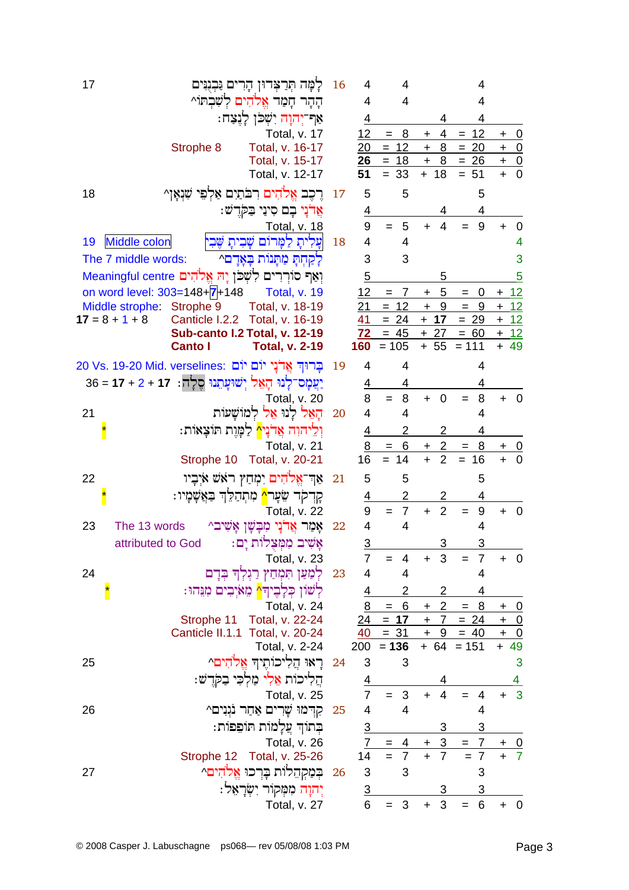| 17 | לָמָּה תִּרַצִּרוּן הָרִים נַּבְנְיִּים                           | 16 | 4                     | 4                          |                         | 4                     |                                                |
|----|-------------------------------------------------------------------|----|-----------------------|----------------------------|-------------------------|-----------------------|------------------------------------------------|
|    | ההר חמר אלהים לשבתו^                                              |    | $\overline{4}$        | $\overline{4}$             |                         | 4                     |                                                |
|    | אַף־יְהוָה יִשְׁכֹּן לַנֵצַח:                                     |    | 4                     |                            | 4                       | 4                     |                                                |
|    | Total, v. 17                                                      |    | 12                    | 8<br>$=$                   | 4<br>$\ddot{}$          | $= 12$                | $+ 0$                                          |
|    | Strophe 8<br>Total, v. 16-17                                      |    | 20                    | $= 12$                     | $+$<br>8                | $=$<br><u>20</u>      | $+$ 0                                          |
|    | Total, v. 15-17<br>Total, v. 12-17                                |    | 51                    | $26 = 18$<br>$= 33$        | 8<br>$\pm$<br>$+ 18$    | $= 26$<br>51<br>$=$   | $+ 0$<br>$\overline{\phantom{0}}$<br>$\ddot{}$ |
| 18 | רֵכֵב אֱלֹהִים רִבֹּתַיִם אַלְפֵי שִׁנְאָן^                       | 17 | 5                     | 5                          |                         | 5                     |                                                |
|    | אֵרֹנָי בָם סִינַי בַּקְרֵשׁ:                                     |    | <u>4</u>              |                            |                         | 4                     |                                                |
|    | Total, v. 18                                                      |    | 9                     | 5<br>$=$                   | $\overline{4}$<br>$+$   | 9<br>$=$              | 0<br>$\ddot{}$                                 |
| 19 | Middle colon<br> עַלִיתָ לַמַּרוֹם<br>שבית שבי                    | 18 | $\overline{4}$        | $\overline{4}$             |                         |                       |                                                |
|    | The 7 middle words:<br>לִקְחָתָּ מִתְּנוֹת בָּאָדָם^              |    | 3                     | 3                          |                         |                       | 3                                              |
|    | וִאַף סוֹרִרִים לְשָׁכֹן יָה אֱלֹהִים Meaningful centre           |    | $\overline{5}$        |                            | 5                       |                       | 5                                              |
|    | on word level: 303=148+7+148<br><b>Total, v. 19</b>               |    | 12                    | 7<br>$=$                   | 5<br>$\ddot{}$          | 0<br>$=$              | $+ 12$                                         |
|    | Middle strophe: Strophe 9<br>Total, v. 18-19                      |    | 21                    | $= 12$                     | $+9$                    | 9<br>$\equiv$         | $+ 12$                                         |
|    | Canticle I.2.2 Total, v. 16-19<br>$17 = 8 + 1 + 8$                |    | 41                    | $= 24$                     | $+ 17$                  | $= 29$                | $+ 12$                                         |
|    | Sub-canto I.2 Total, v. 12-19                                     |    | 72                    | $= 45$                     | $+27$                   | $= 60$                | $+ 12$                                         |
|    | <b>Canto I</b><br><b>Total, v. 2-19</b>                           |    | 160                   | $= 105$                    | $+ 55$                  | $= 111$               | $+49$                                          |
|    | 20 Vs. 19-20 Mid. verselines: בַּרוּדְ אֲדֹנָי יוֹם יוֹם          | 19 | 4                     | 4                          |                         | 4                     |                                                |
|    | <u>יַעֲמָס־לָנוּ הָאֵל יִשׁוּעָתְנוּ סֵלָה:  17 + 2 + 17 = 36</u> |    | <u>4</u>              | 4                          |                         | 4                     |                                                |
| 21 | Total, v. 20<br>הָאֵל לְנוּ אֵל לְמוֹשֵׁעוֹת                      | 20 | 8<br>4                | 8<br>$=$<br>$\overline{4}$ | $\overline{0}$<br>$+$   | 8<br>4                | $+ 0$                                          |
|    | וִלִיהוָה אֲדֹנָי <mark>^</mark> לַמָּוֵת תּוֹצָאוֹת:             |    |                       | 2                          | 2                       | 4                     |                                                |
|    | Total, v. 21                                                      |    | $\overline{4}$<br>8   | 6<br>$=$                   | $\overline{2}$<br>$+$   | 8<br>$=$              | $+ 0$                                          |
|    | Strophe 10 Total, v. 20-21                                        |    | 16                    | $= 14$                     | $\overline{2}$<br>$+$   | $= 16$                | $+ 0$                                          |
| 22 | אַרְ־אֱלֹהִים יִמְחַץ ראשׁ איְבָיו                                | 21 | 5                     | 5                          |                         | 5                     |                                                |
|    | קִדְקָד שֵׂעָר <mark>^</mark> מִתְהַלֵּךְ בַּאֲשֶׁמָיו:           |    | <u>4</u>              | $\overline{2}$             | 2                       | 4                     |                                                |
|    | Total, v. 22                                                      |    | 9                     | $= 7$                      | $\overline{2}$<br>$+$   | $9\,$<br>$=$          | $\overline{\mathbf{0}}$<br>$\ddot{}$           |
| 23 | The 13 words<br>אַמַר אַרֹנִי מִבָּשֶׁן אָשִׁיב^                  | 22 | $\overline{4}$        | 4                          |                         | 4                     |                                                |
|    | אָשִׁיב מִמְצָלוֹת יָם:<br>attributed to God                      |    | <u>3</u>              |                            |                         |                       |                                                |
|    | Total, v. 23                                                      |    | $\overline{7}$        | 4                          | 3<br>$\ddot{}$          | $\overline{7}$<br>$=$ | $+ 0$                                          |
| 24 | לִמַּעַן תִּמְחַץ רַגְלְךָ בִּדָם                                 | 23 | 4                     | 4                          |                         | 4                     |                                                |
|    | לְשׁון כְּלָבֶיך <mark>ּ^</mark> מֵאיְבִים מִנֵּהוּ:              |    | <u>4</u>              | 2                          | 2                       | 4                     |                                                |
|    | Total, v. 24                                                      |    | $\frac{8}{1}$         | $= 6$                      | $\overline{2}$<br>$\pm$ | 8<br>$\equiv$         | <u>+ 0</u>                                     |
|    | Strophe 11 Total, v. 22-24<br>Canticle II.1.1 Total, v. 20-24     |    | $\overline{24}$<br>40 | $= 17$<br>$= 31$           | $\pm$ 7                 | $= 24$<br>$+ 9 = 40$  | $+$ 0<br>$\overline{+}$                        |
|    | Total, v. 2-24                                                    |    |                       | $200 = 136$                |                         | $+ 64 = 151$          | $\overline{0}$<br>$+ 49$                       |
| 25 | רַאוּ הַלִיכוֹתֵיךְ אֱלֹהִים^                                     | 24 | 3                     | 3                          |                         |                       | 3                                              |
|    | הַלִיכוֹת אֵלִי מַלִכִּי בִקְרֵשׁ:                                |    | $\overline{4}$        |                            |                         |                       |                                                |
|    | Total, v. 25                                                      |    | $\overline{7}$        | 3<br>$=$                   | 4<br>$\ddot{}$          | 4                     | 3                                              |
| 26 | קִרְמוּ שֶׁרִים אַחַר נֹגִנִים^                                   | 25 | 4                     | 4                          |                         | 4                     |                                                |
|    | בִתוֹדְ עֲלָמוֹת תּוֹפֵפוֹת:                                      |    |                       |                            |                         |                       |                                                |
|    | Total, v. 26                                                      |    | $\frac{3}{7}$         | $= 4$                      | $+$                     | $3 = 7$               | $+$ 0                                          |
|    | Total, v. 25-26<br>Strophe 12                                     |    | 14                    | $= 7$                      | $\overline{7}$<br>$+$   | $= 7$                 | $\overline{7}$                                 |
| 27 | בִּמַקְהֵלוֹת בָּרְכוּ אֱלֹהִים^                                  | 26 | 3                     | 3                          |                         | 3                     |                                                |
|    | יִהוָה מִמְקוֹר יִשְׂרָאֵל:                                       |    | $\overline{3}$        |                            | 3                       | $\overline{3}$        |                                                |
|    | Total, v. 27                                                      |    | 6                     | 3<br>$=$                   | 3<br>$+$                | 6<br>$=$              | $+ 0$                                          |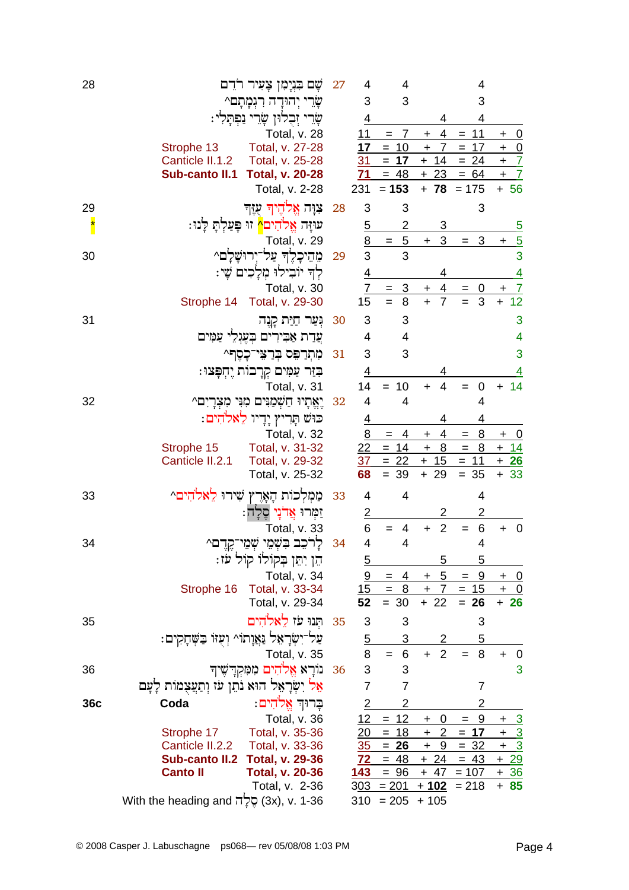| 28                       | ררֵם<br>שָם בִּנְיָמִן צָעִיר                                                         | 27 | 4                                  | 4                                        |                                            | 4                               |                                                                 |
|--------------------------|---------------------------------------------------------------------------------------|----|------------------------------------|------------------------------------------|--------------------------------------------|---------------------------------|-----------------------------------------------------------------|
|                          | יהורה רגמתם^                                                                          |    | 3                                  | 3                                        |                                            | 3                               |                                                                 |
|                          | זְבֻלוּן שָׂרֵי<br>נפתק                                                               |    | <u>4</u>                           |                                          |                                            | 4                               |                                                                 |
|                          | Total, v. 28                                                                          |    | 11                                 | 7<br>$=$                                 | 4<br>+                                     | 11<br>$=$                       | <u>0</u><br>$\ddot{}$                                           |
|                          | Total, v. 27-28<br>Strophe 13                                                         |    | 17                                 | 10<br>$\equiv$                           | 7<br>$\pm$                                 | 17<br>$=$                       | $\boldsymbol{+}$<br>$\overline{0}$                              |
|                          | Canticle II.1.2<br>Total, v. 25-28<br>Sub-canto II.1<br><b>Total, v. 20-28</b>        |    | 31<br>71                           | $= 17$<br>$= 48$                         | $+ 14$<br>$+23$                            | $= 24$<br>$= 64$                | $\overline{I}$<br>$\ddot{}$<br>$\overline{\phantom{a}7}$<br>$+$ |
|                          | Total, v. 2-28                                                                        |    | 231                                | $= 153$                                  |                                            | $+ 78 = 175$                    | $+ 56$                                                          |
|                          |                                                                                       |    |                                    |                                          |                                            |                                 |                                                                 |
| 29                       | צוה אֱלֹהֶיךְ עֻזֶךְ                                                                  | 28 | 3                                  | 3                                        |                                            | 3                               |                                                                 |
| $\overline{\phantom{a}}$ | עוזה אלהים^ זוּ פַעַלתַ לַנוּ:                                                        |    | <u>5</u>                           | 2                                        | 3                                          |                                 | <u>5</u>                                                        |
|                          | Total, v. 29                                                                          |    | $\frac{8}{3}$                      | $\overline{5}$<br>$=$<br>3               | 3<br>$+$                                   | $\mathbf{3}$<br>$=$             | $rac{5}{3}$<br>$\ddagger$                                       |
| 30                       | מֵהֵיכָלֵךְ עַל־יִרוּשַׁלָם^                                                          | 29 |                                    |                                          |                                            |                                 |                                                                 |
|                          | לְךָ יוֹבִילוּ מִלָּכִים שָׁי:                                                        |    | $\overline{4}$                     |                                          | 4                                          |                                 | $\overline{4}$                                                  |
|                          | Total, v. 30<br>Strophe 14 Total, v. 29-30                                            |    | 7<br>15                            | <u>3</u><br>$=$<br>$\overline{8}$<br>$=$ | 4<br>+<br>$\overline{7}$<br>$\overline{+}$ | <u>0</u><br>$\overline{3}$      | $\overline{1}$<br>+<br>$\overline{12}$<br>$\ddot{}$             |
|                          |                                                                                       |    |                                    |                                          |                                            |                                 |                                                                 |
| 31                       | וִּעַר חַיַּת קְנֶה                                                                   | 30 | 3                                  | 3                                        |                                            |                                 | 3                                                               |
|                          | עֲדַת אַבִּירִים בִּעֲגָלֵי עַמַּים                                                   |    | 4                                  | 4                                        |                                            |                                 | 4                                                               |
|                          | מִתְרַפֵּס בְּרַצֵּי־כָסֶף^                                                           | 31 | 3                                  | 3                                        |                                            |                                 | 3                                                               |
|                          | בְּזַר עַמִּים קְרָבות יֶחְפָּצוּ:                                                    |    | $\overline{4}$                     |                                          |                                            |                                 |                                                                 |
|                          | Total, v. 31                                                                          |    | 14                                 | 10<br>$=$                                | 4<br>$\ddot{}$                             | 0<br>$=$                        | 14<br>$+$                                                       |
| 32                       | יֵאֵתָיוּ חַשָּׁמַנִּים מִנִּי מִצְרָיִם^                                             | 32 | 4                                  | 4                                        |                                            | 4                               |                                                                 |
|                          | כּוּשׁ תָּרִיץ יָדְיו לֵאלֹהִים:                                                      |    | $\overline{4}$                     |                                          |                                            | 4                               |                                                                 |
|                          | Total, v. 32                                                                          |    | $\underline{8}$<br>$2\overline{2}$ | 4<br>$=$                                 | 4<br>$\ddot{}$<br>$\ddot{+}$               | 8<br>$=$                        | $\ddot{}$<br><u>0</u>                                           |
|                          | Total, v. 31-32<br>Strophe 15<br>Canticle II.2.1<br>Total, v. 29-32                   |    | 37                                 | $= 14$<br>$= 22$                         | 8<br>$\ddot{}$<br>15                       | $=$<br>$\overline{8}$<br>$= 11$ | $+ 14$<br>$+26$                                                 |
|                          | Total, v. 25-32                                                                       |    | 68                                 | 39<br>$=$                                | $+29$                                      | $= 35$                          | $+ 33$                                                          |
| 33                       | מַמְלְכוּת הָאָרֶץ שִׁירוּ לֵאלהִים^                                                  | 33 | 4                                  | 4                                        |                                            | 4                               |                                                                 |
|                          | זַמְרוּ <b>אֲרֹנֶי סֶלְה</b> :                                                        |    | $\overline{2}$                     |                                          | 2                                          | 2                               |                                                                 |
|                          | Total, v. 33                                                                          |    | 6                                  | 4                                        | $\overline{2}$<br>$\ddot{}$                | 6<br>$=$                        | $\mathbf 0$<br>$\ddot{}$                                        |
| 34                       | לרכב בשמי שמי־קדם^                                                                    | 34 | 4                                  | 4                                        |                                            | $\overline{4}$                  |                                                                 |
|                          | הֵן יִתֵּן בְּקוֹלוֹ קוֹל עֹז:                                                        |    | $\overline{5}$                     |                                          | 5                                          | 5                               |                                                                 |
|                          | Total, v. 34                                                                          |    | $\overline{9}$                     | 4<br>$=$                                 | 5<br>$+$                                   | 9<br>$=$                        | <u>_0</u><br>$\mathbf +$                                        |
|                          | Total, v. 33-34<br>Strophe 16                                                         |    | 15                                 | $= 8$                                    | $+ 7$                                      | $= 15$                          | $\overline{+}$<br><u>_0</u>                                     |
|                          | Total, v. 29-34                                                                       |    | 52                                 | $= 30$                                   | $+22$                                      | $= 26$                          | $+ 26$                                                          |
| 35                       | תִּנוּ עֹז לֵאלֹהִים                                                                  | 35 | 3                                  | 3                                        |                                            | 3                               |                                                                 |
|                          | ַעַל־יִשְׂרָאֵל נַּאֲוָתוֹ^ וְעָזּוֹ בַּשְׁחָקִים:                                    |    | $\overline{5}$                     | 3                                        | $\overline{2}$                             | 5                               |                                                                 |
|                          | Total, v. 35                                                                          |    | 8                                  | $= 6$                                    | $\overline{2}$<br>$+$                      | 8<br>$=$                        | $\ddag$<br>$\mathbf 0$                                          |
| 36                       | נורא אלהים ממקדשיד                                                                    | 36 | 3                                  | 3                                        |                                            |                                 | 3                                                               |
|                          | אֵל יִשְׂרָאֵל הוּא נֹתֵן עֹז וְתַעֲצְמוֹת לָעָם                                      |    | 7                                  | 7                                        |                                            | 7                               |                                                                 |
| 36c                      | בְרוּךְ אֱלֹהִים:<br>Coda                                                             |    | $\overline{2}$                     | 2                                        |                                            | 2                               |                                                                 |
|                          | Total, v. 36                                                                          |    | 12                                 | 12<br>$\qquad \qquad =$                  | 0<br>$\ddot{}$                             | 9<br>$=$                        | $\ddot{}$                                                       |
|                          | Total, v. 35-36<br>Strophe 17                                                         |    | <u> 20</u>                         | $=$<br><u> 18</u>                        | $\ddot{}$<br>$\overline{2}$                | 17<br>$=$                       | $\frac{3}{3}$<br>$\overline{+}$                                 |
|                          | Canticle II.2.2<br>Total, v. 33-36                                                    |    | 35                                 | $= 26$                                   | $\ddot{+}$<br>$\boldsymbol{9}$             | $\frac{1}{2}$ 32                | $+$                                                             |
|                          | Sub-canto II.2<br><b>Total, v. 29-36</b><br><b>Canto II</b><br><b>Total, v. 20-36</b> |    | <u>72</u><br><u>143</u>            | $= 48$<br>$= 96$                         | $+24$                                      | $= 43$<br>$+ 47 = 107$          | $+29$<br>$+36$                                                  |
|                          | Total, v. 2-36                                                                        |    |                                    | $303 = 201$                              | <u>+ 102</u>                               | $= 218$                         | $+ 85$                                                          |
|                          | 3x), v. 1-36) הֱלֶה With the heading and                                              |    | 310                                | $= 205$                                  | $+105$                                     |                                 |                                                                 |
|                          |                                                                                       |    |                                    |                                          |                                            |                                 |                                                                 |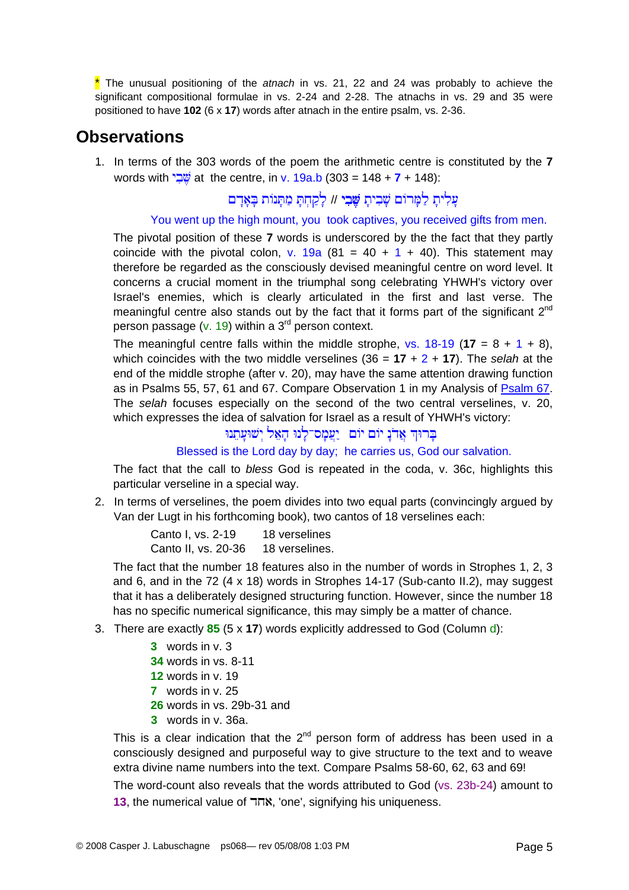\* The unusual positioning of the *atnach* in vs. 21, 22 and 24 was probably to achieve the significant compositional formulae in vs. 2-24 and 2-28. The atnachs in vs. 29 and 35 were positioned to have **102** (6 x **17**) words after atnach in the entire psalm, vs. 2-36.

## **Observations**

1. In terms of the 303 words of the poem the arithmetic centre is constituted by the **7** words with  $\frac{w}{2}$  at the centre, in v. 19a.b (303 = 148 + **7** + 148):

עַלִיתָ לַמָּרוֹם שָׁבִיתָ <del>שֶׁבִ</del>י // לָקַחְתָּ מַתְּנוֹת בָּאָדָם

#### You went up the high mount, you took captives, you received gifts from men.

The pivotal position of these **7** words is underscored by the the fact that they partly coincide with the pivotal colon, v. 19a  $(81 = 40 + 1 + 40)$ . This statement may therefore be regarded as the consciously devised meaningful centre on word level. It concerns a crucial moment in the triumphal song celebrating YHWH's victory over Israel's enemies, which is clearly articulated in the first and last verse. The meaningful centre also stands out by the fact that it forms part of the significant  $2^{nd}$ person passage (v. 19) within a  $3<sup>rd</sup>$  person context.

The meaningful centre falls within the middle strophe,  $vs. 18-19$  (17 = 8 + 1 + 8), which coincides with the two middle verselines (36 = **17** + 2 + **17**). The *selah* at the end of the middle strophe (after v. 20), may have the same attention drawing function as in Psalms 55, 57, 61 and 67. Compare Observation 1 in my Analysis of [Psalm 67](http://www.labuschagne.nl/ps067.pdf). The *selah* focuses especially on the second of the two central verselines, v. 20, which expresses the idea of salvation for Israel as a result of YHWH's victory:

#### בּרוּךְ אֲדֹנָ יוֹם יוֹם יַעֲמָס־לָנוּ הָאֵל יִשׁוּעָתֵנוּ

Blessed is the Lord day by day; he carries us, God our salvation.

The fact that the call to *bless* God is repeated in the coda, v. 36c, highlights this particular verseline in a special way.

2. In terms of verselines, the poem divides into two equal parts (convincingly argued by Van der Lugt in his forthcoming book), two cantos of 18 verselines each:

> Canto I, vs. 2-19 18 verselines Canto II, vs. 20-36 18 verselines.

The fact that the number 18 features also in the number of words in Strophes 1, 2, 3 and 6, and in the  $72$  (4 x 18) words in Strophes 14-17 (Sub-canto II.2), may suggest that it has a deliberately designed structuring function. However, since the number 18 has no specific numerical significance, this may simply be a matter of chance.

- 3. There are exactly **85** (5 x **17**) words explicitly addressed to God (Column d):
	- **3** words in v. 3
	- **34** words in vs. 8-11
	- **12** words in v. 19
	- **7** words in v. 25
	- **26** words in vs. 29b-31 and
	- **3** words in v. 36a.

This is a clear indication that the  $2^{nd}$  person form of address has been used in a consciously designed and purposeful way to give structure to the text and to weave extra divine name numbers into the text. Compare Psalms 58-60, 62, 63 and 69! The word-count also reveals that the words attributed to God (vs. 23b-24) amount to **13**, the numerical value of אחד, 'one', signifying his uniqueness.